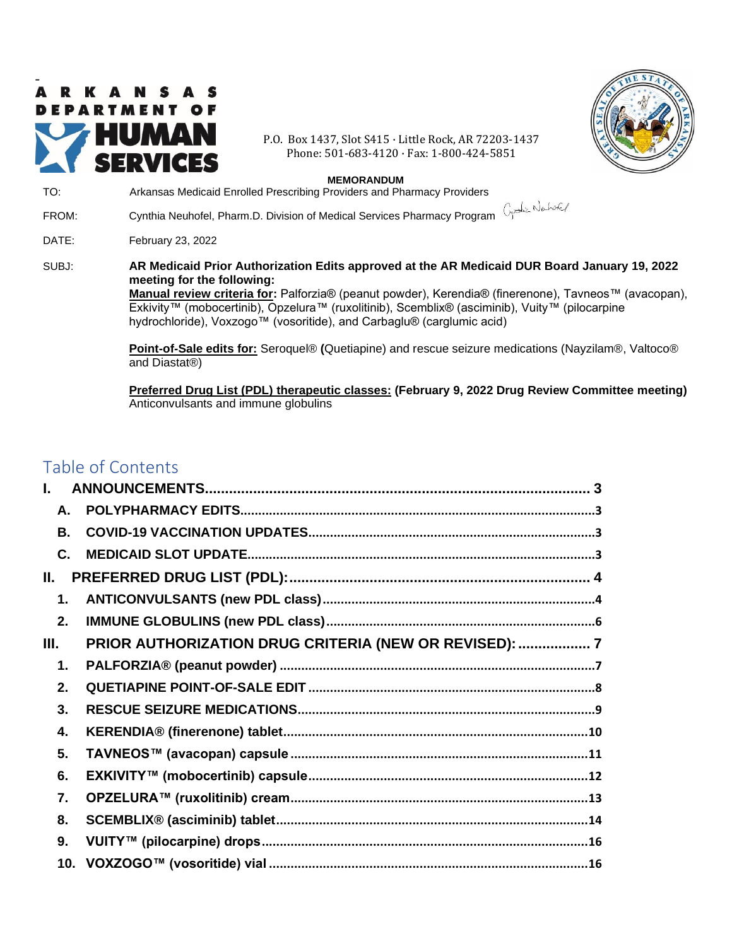

P.O. Box 1437, Slot S415 · Little Rock, AR 72203-1437 Phone: 501-683-4120 · Fax: 1-800-424-5851



#### **MEMORANDUM** TO: Arkansas Medicaid Enrolled Prescribing Providers and Pharmacy Providers

FROM: Cynthia Neuhofel, Pharm.D. Division of Medical Services Pharmacy Program DATE: February 23, 2022 SUBJ: **AR Medicaid Prior Authorization Edits approved at the AR Medicaid DUR Board January 19, 2022 meeting for the following: Manual review criteria for:** Palforzia® (peanut powder), Kerendia® (finerenone), Tavneos™ (avacopan), Exkivity™ (mobocertinib), Opzelura™ (ruxolitinib), Scemblix® (asciminib), Vuity™ (pilocarpine hydrochloride), Voxzogo™ (vosoritide), and Carbaglu® (carglumic acid) **Point-of-Sale edits for:** Seroquel® **(**Quetiapine) and rescue seizure medications (Nayzilam®, Valtoco® and Diastat®)

**Preferred Drug List (PDL) therapeutic classes: (February 9, 2022 Drug Review Committee meeting)** Anticonvulsants and immune globulins

# <span id="page-0-0"></span>Table of Contents

| ĺ.        |                                                        |  |
|-----------|--------------------------------------------------------|--|
| A.        |                                                        |  |
| <b>B.</b> |                                                        |  |
| C.        |                                                        |  |
| II.       |                                                        |  |
| 1.        |                                                        |  |
| 2.        |                                                        |  |
| Ш.        | PRIOR AUTHORIZATION DRUG CRITERIA (NEW OR REVISED):  7 |  |
| 1.        |                                                        |  |
| 2.        |                                                        |  |
| 3.        |                                                        |  |
| 4.        |                                                        |  |
| 5.        |                                                        |  |
| 6.        |                                                        |  |
| 7.        |                                                        |  |
| 8.        |                                                        |  |
| 9.        |                                                        |  |
|           |                                                        |  |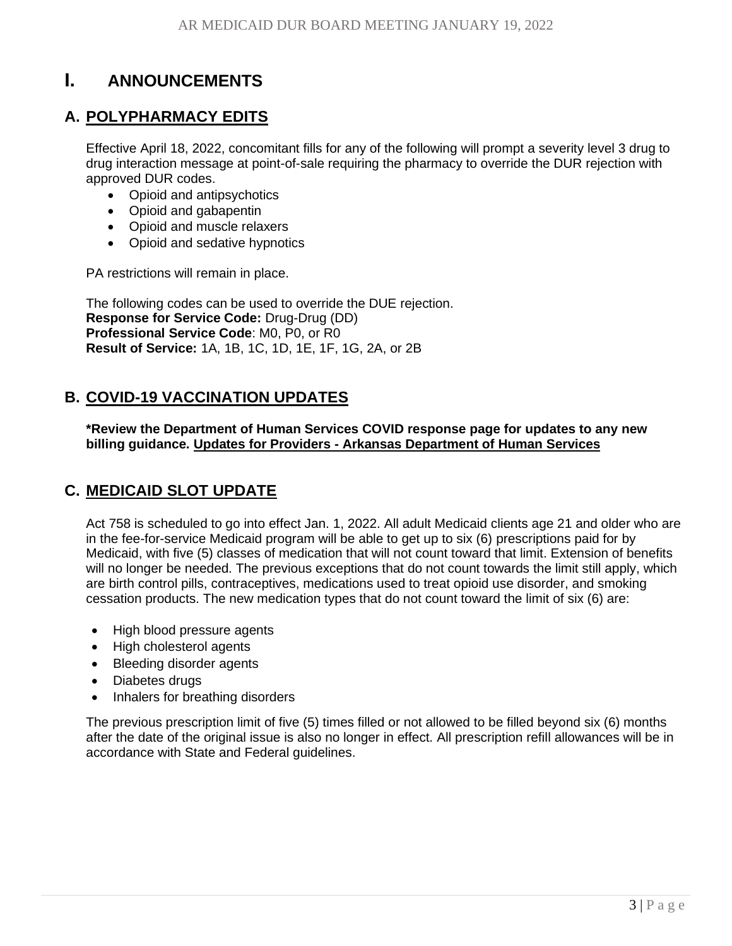# <span id="page-2-0"></span>**I. [ANNOUNCEMENTS](#page-0-0)**

# <span id="page-2-1"></span>**A. [POLYPHARMACY EDITS](#page-0-0)**

Effective April 18, 2022, concomitant fills for any of the following will prompt a severity level 3 drug to drug interaction message at point-of-sale requiring the pharmacy to override the DUR rejection with approved DUR codes.

- Opioid and antipsychotics
- Opioid and gabapentin
- Opioid and muscle relaxers
- Opioid and sedative hypnotics

PA restrictions will remain in place.

The following codes can be used to override the DUE rejection. **Response for Service Code:** Drug-Drug (DD) **Professional Service Code**: M0, P0, or R0 **Result of Service:** 1A, 1B, 1C, 1D, 1E, 1F, 1G, 2A, or 2B

# <span id="page-2-2"></span>**B. [COVID-19 VACCINATION UPDATES](#page-0-0)**

**\*Review the Department of Human Services COVID response page for updates to any new billing guidance. Updates for Providers - [Arkansas Department of](https://humanservices.arkansas.gov/covid-19/dhs-response-to-covid-19/updates-for-providers/) Human Services**

# <span id="page-2-3"></span>**C. [MEDICAID SLOT UPDATE](#page-0-0)**

Act 758 is scheduled to go into effect Jan. 1, 2022. All adult Medicaid clients age 21 and older who are in the fee-for-service Medicaid program will be able to get up to six (6) prescriptions paid for by Medicaid, with five (5) classes of medication that will not count toward that limit. Extension of benefits will no longer be needed. The previous exceptions that do not count towards the limit still apply, which are birth control pills, contraceptives, medications used to treat opioid use disorder, and smoking cessation products. The new medication types that do not count toward the limit of six (6) are:

- High blood pressure agents
- High cholesterol agents
- Bleeding disorder agents
- Diabetes drugs
- Inhalers for breathing disorders

The previous prescription limit of five (5) times filled or not allowed to be filled beyond six (6) months after the date of the original issue is also no longer in effect. All prescription refill allowances will be in accordance with State and Federal guidelines.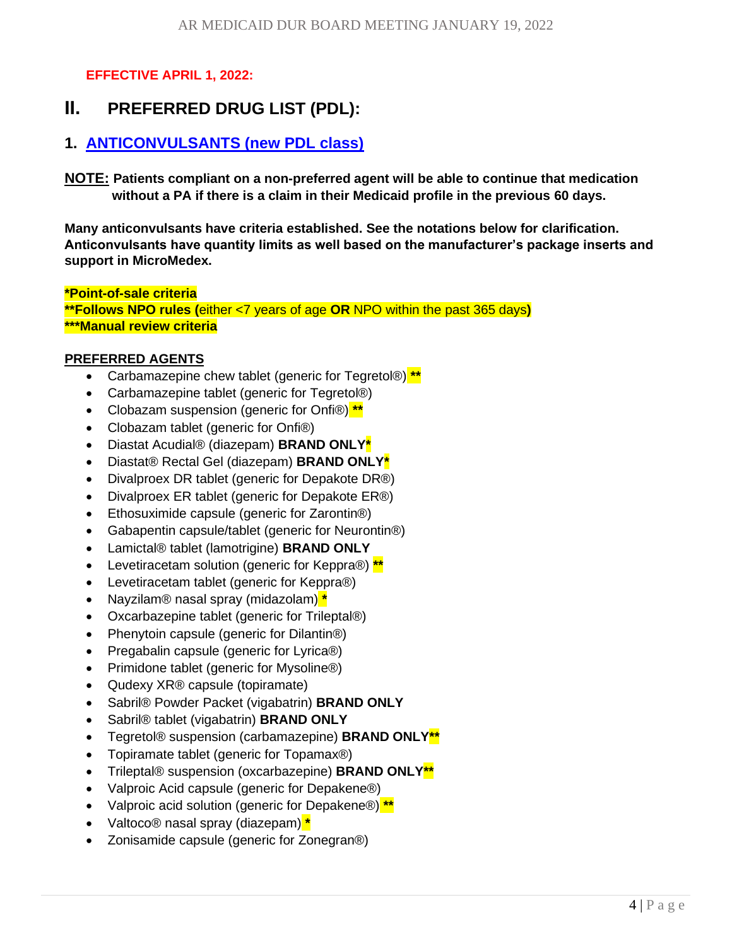<span id="page-3-0"></span>**EFFECTIVE APRIL 1, 2022:**

# **II. [PREFERRED DRUG LIST \(PDL\):](#page-0-0)**

# <span id="page-3-1"></span>**1. [ANTICONVULSANTS \(new PDL class\)](#page-0-0)**

**NOTE: Patients compliant on a non-preferred agent will be able to continue that medication without a PA if there is a claim in their Medicaid profile in the previous 60 days.**

**Many anticonvulsants have criteria established. See the notations below for clarification. Anticonvulsants have quantity limits as well based on the manufacturer's package inserts and support in MicroMedex.**

**\*Point-of-sale criteria \*\*Follows NPO rules (**either <7 years of age **OR** NPO within the past 365 days**) \*\*\*Manual review criteria**

#### **PREFERRED AGENTS**

- Carbamazepine chew tablet (generic for Tegretol®) **\*\***
- Carbamazepine tablet (generic for Tegretol®)
- Clobazam suspension (generic for Onfi®) **\*\***
- Clobazam tablet (generic for Onfi®)
- Diastat Acudial® (diazepam) **BRAND ONLY\***
- Diastat® Rectal Gel (diazepam) **BRAND ONLY\***
- Divalproex DR tablet (generic for Depakote DR®)
- Divalproex ER tablet (generic for Depakote ER®)
- Ethosuximide capsule (generic for Zarontin®)
- Gabapentin capsule/tablet (generic for Neurontin®)
- Lamictal® tablet (lamotrigine) **BRAND ONLY**
- Levetiracetam solution (generic for Keppra®) **\*\***
- Levetiracetam tablet (generic for Keppra®)
- Nayzilam® nasal spray (midazolam) **\***
- Oxcarbazepine tablet (generic for Trileptal®)
- Phenytoin capsule (generic for Dilantin<sup>®</sup>)
- Pregabalin capsule (generic for Lyrica®)
- Primidone tablet (generic for Mysoline®)
- Qudexy XR® capsule (topiramate)
- Sabril® Powder Packet (vigabatrin) **BRAND ONLY**
- Sabril® tablet (vigabatrin) **BRAND ONLY**
- Tegretol® suspension (carbamazepine) **BRAND ONLY\*\***
- Topiramate tablet (generic for Topamax®)
- Trileptal® suspension (oxcarbazepine) **BRAND ONLY\*\***
- Valproic Acid capsule (generic for Depakene®)
- Valproic acid solution (generic for Depakene®) **\*\***
- Valtoco® nasal spray (diazepam) **\***
- Zonisamide capsule (generic for Zonegran®)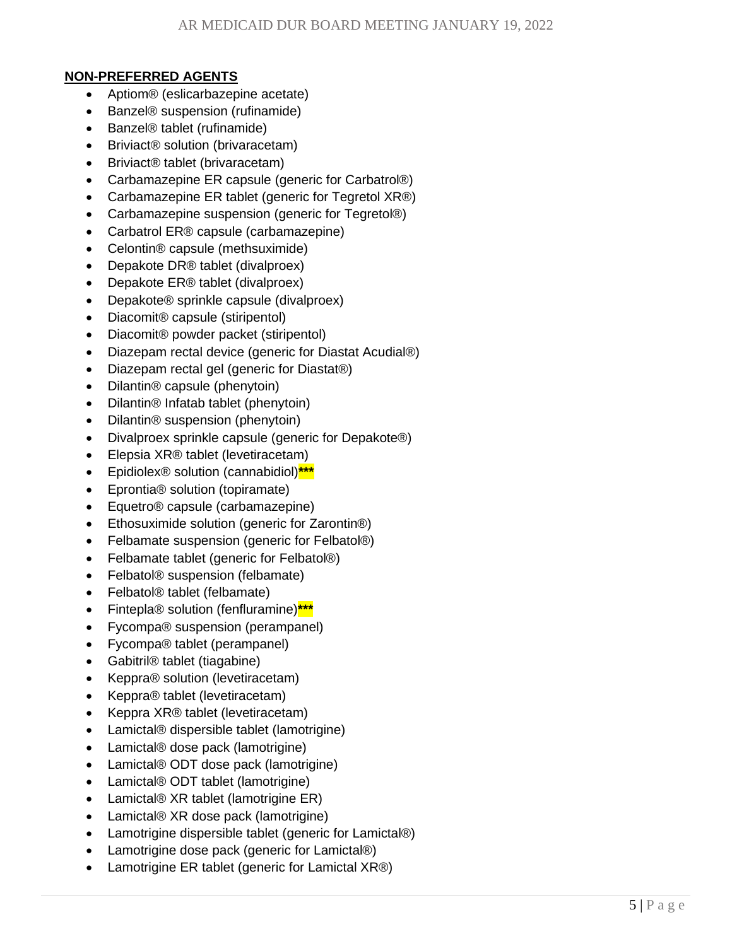#### **NON-PREFERRED AGENTS**

- Aptiom® (eslicarbazepine acetate)
- Banzel® suspension (rufinamide)
- Banzel® tablet (rufinamide)
- Briviact<sup>®</sup> solution (brivaracetam)
- Briviact® tablet (brivaracetam)
- Carbamazepine ER capsule (generic for Carbatrol®)
- Carbamazepine ER tablet (generic for Tegretol XR®)
- Carbamazepine suspension (generic for Tegretol®)
- Carbatrol ER® capsule (carbamazepine)
- Celontin® capsule (methsuximide)
- Depakote DR® tablet (divalproex)
- Depakote ER® tablet (divalproex)
- Depakote® sprinkle capsule (divalproex)
- Diacomit® capsule (stiripentol)
- Diacomit® powder packet (stiripentol)
- Diazepam rectal device (generic for Diastat Acudial®)
- Diazepam rectal gel (generic for Diastat®)
- Dilantin® capsule (phenytoin)
- Dilantin® Infatab tablet (phenytoin)
- Dilantin® suspension (phenytoin)
- Divalproex sprinkle capsule (generic for Depakote®)
- Elepsia XR® tablet (levetiracetam)
- Epidiolex® solution (cannabidiol)**\*\*\***
- Eprontia® solution (topiramate)
- Equetro® capsule (carbamazepine)
- Ethosuximide solution (generic for Zarontin®)
- Felbamate suspension (generic for Felbatol®)
- Felbamate tablet (generic for Felbatol®)
- Felbatol<sup>®</sup> suspension (felbamate)
- Felbatol® tablet (felbamate)
- Fintepla® solution (fenfluramine)**\*\*\***
- Fycompa® suspension (perampanel)
- Fycompa® tablet (perampanel)
- Gabitril® tablet (tiagabine)
- Keppra® solution (levetiracetam)
- Keppra® tablet (levetiracetam)
- Keppra XR® tablet (levetiracetam)
- Lamictal® dispersible tablet (lamotrigine)
- Lamictal® dose pack (lamotrigine)
- Lamictal® ODT dose pack (lamotrigine)
- Lamictal® ODT tablet (lamotrigine)
- Lamictal® XR tablet (lamotrigine ER)
- Lamictal® XR dose pack (lamotrigine)
- Lamotrigine dispersible tablet (generic for Lamictal®)
- Lamotrigine dose pack (generic for Lamictal®)
- Lamotrigine ER tablet (generic for Lamictal XR®)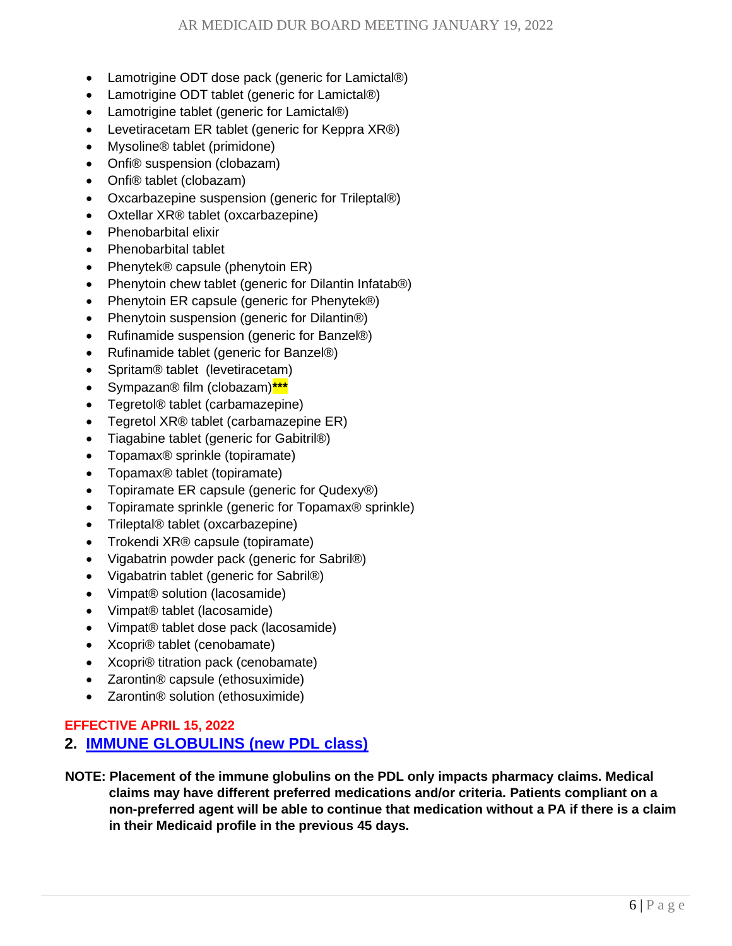- Lamotrigine ODT dose pack (generic for Lamictal®)
- Lamotrigine ODT tablet (generic for Lamictal®)
- Lamotrigine tablet (generic for Lamictal®)
- Levetiracetam ER tablet (generic for Keppra XR®)
- Mysoline<sup>®</sup> tablet (primidone)
- Onfi® suspension (clobazam)
- Onfi® tablet (clobazam)
- Oxcarbazepine suspension (generic for Trileptal®)
- Oxtellar XR® tablet (oxcarbazepine)
- Phenobarbital elixir
- Phenobarbital tablet
- Phenytek® capsule (phenytoin ER)
- Phenytoin chew tablet (generic for Dilantin Infatab<sup>®)</sup>
- Phenytoin ER capsule (generic for Phenytek®)
- Phenytoin suspension (generic for Dilantin®)
- Rufinamide suspension (generic for Banzel®)
- Rufinamide tablet (generic for Banzel®)
- Spritam® tablet (levetiracetam)
- Sympazan® film (clobazam)**\*\*\***
- Tegretol® tablet (carbamazepine)
- Tegretol XR® tablet (carbamazepine ER)
- Tiagabine tablet (generic for Gabitril®)
- Topamax® sprinkle (topiramate)
- Topamax® tablet (topiramate)
- Topiramate ER capsule (generic for Qudexy®)
- Topiramate sprinkle (generic for Topamax® sprinkle)
- Trileptal® tablet (oxcarbazepine)
- Trokendi XR® capsule (topiramate)
- Vigabatrin powder pack (generic for Sabril®)
- Vigabatrin tablet (generic for Sabril®)
- Vimpat® solution (lacosamide)
- Vimpat® tablet (lacosamide)
- Vimpat® tablet dose pack (lacosamide)
- Xcopri® tablet (cenobamate)
- Xcopri® titration pack (cenobamate)
- Zarontin® capsule (ethosuximide)
- Zarontin® solution (ethosuximide)

### **EFFECTIVE APRIL 15, 2022**

# <span id="page-5-0"></span>**2. [IMMUNE GLOBULINS \(new PDL class\)](#page-0-0)**

 **NOTE: Placement of the immune globulins on the PDL only impacts pharmacy claims. Medical claims may have different preferred medications and/or criteria. Patients compliant on a non-preferred agent will be able to continue that medication without a PA if there is a claim in their Medicaid profile in the previous 45 days.**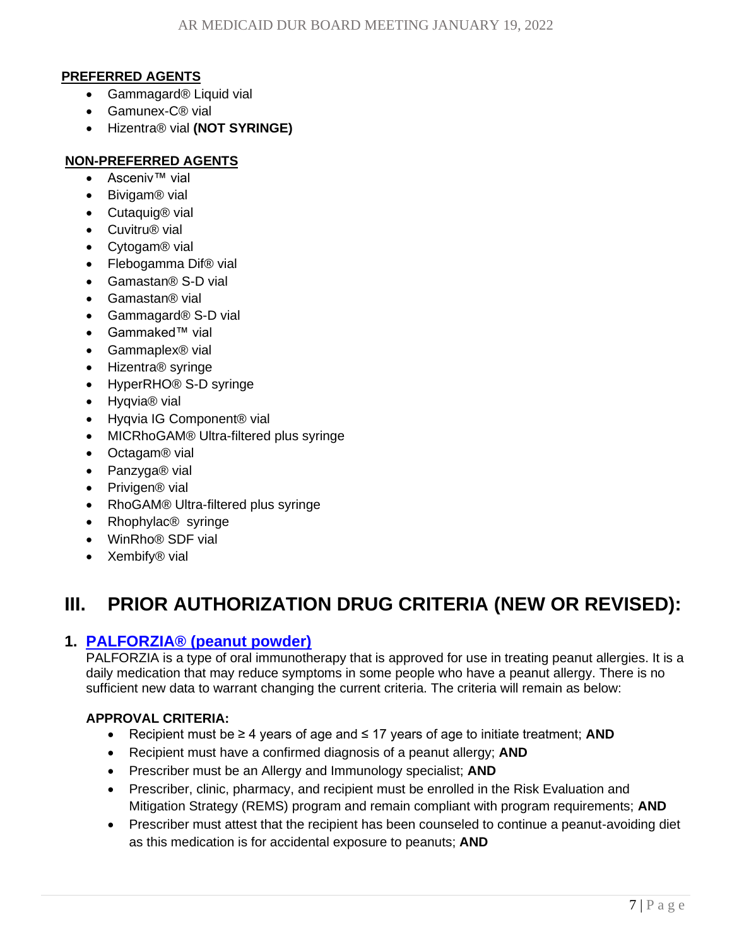#### **PREFERRED AGENTS**

- Gammagard<sup>®</sup> Liquid vial
- Gamunex-C® vial
- Hizentra® vial **(NOT SYRINGE)**

#### **NON-PREFERRED AGENTS**

- Asceniv™ vial
- Bivigam® vial
- Cutaquig® vial
- Cuvitru® vial
- Cytogam® vial
- Flebogamma Dif<sup>®</sup> vial
- Gamastan® S-D vial
- Gamastan® vial
- Gammagard® S-D vial
- Gammaked™ vial
- Gammaplex® vial
- Hizentra® syringe
- HyperRHO® S-D syringe
- Hyqvia® vial
- Hyqvia IG Component® vial
- MICRhoGAM® Ultra-filtered plus syringe
- Octagam® vial
- Panzyga® vial
- Privigen<sup>®</sup> vial
- RhoGAM® Ultra-filtered plus syringe
- Rhophylac<sup>®</sup> syringe
- WinRho® SDF vial
- <span id="page-6-0"></span>• Xembify<sup>®</sup> vial

# **III. [PRIOR AUTHORIZATION DRUG CRITERIA \(NEW OR](#page-0-0) REVISED):**

## <span id="page-6-1"></span>**1. PALFORZIA® [\(peanut powder\)](#page-0-0)**

PALFORZIA is a type of oral immunotherapy that is approved for use in treating peanut allergies. It is a daily medication that may reduce symptoms in some people who have a peanut allergy. There is no sufficient new data to warrant changing the current criteria. The criteria will remain as below:

- Recipient must be ≥ 4 years of age and ≤ 17 years of age to initiate treatment; **AND**
- Recipient must have a confirmed diagnosis of a peanut allergy; **AND**
- Prescriber must be an Allergy and Immunology specialist; **AND**
- Prescriber, clinic, pharmacy, and recipient must be enrolled in the Risk Evaluation and Mitigation Strategy (REMS) program and remain compliant with program requirements; **AND**
- Prescriber must attest that the recipient has been counseled to continue a peanut-avoiding diet as this medication is for accidental exposure to peanuts; **AND**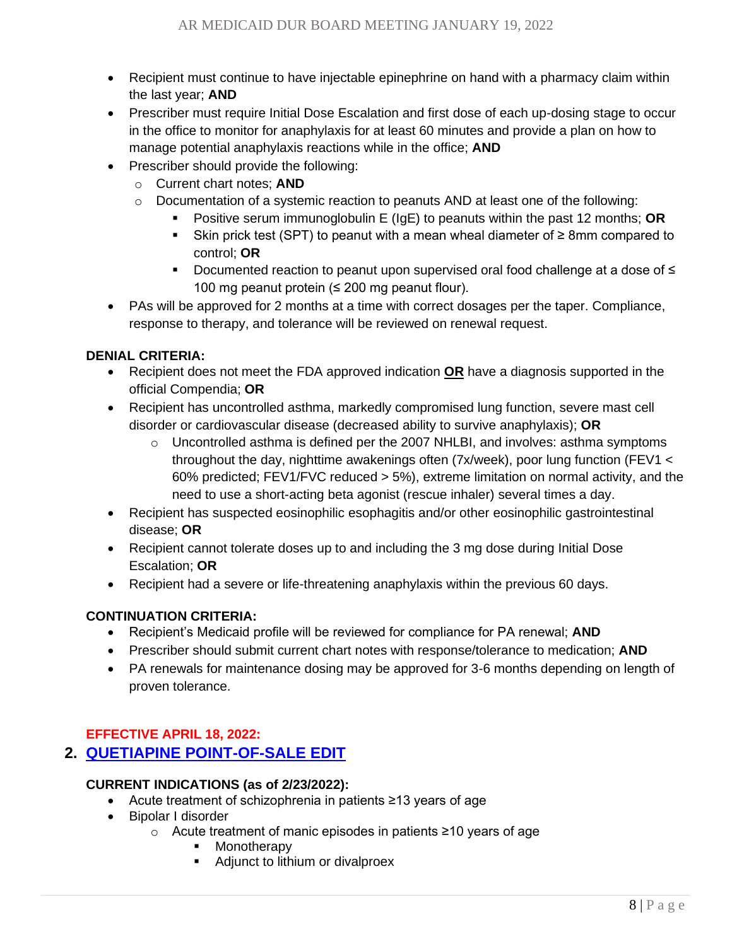- Recipient must continue to have injectable epinephrine on hand with a pharmacy claim within the last year; **AND**
- Prescriber must require Initial Dose Escalation and first dose of each up-dosing stage to occur in the office to monitor for anaphylaxis for at least 60 minutes and provide a plan on how to manage potential anaphylaxis reactions while in the office; **AND**
- Prescriber should provide the following:
	- o Current chart notes; **AND**
	- $\circ$  Documentation of a systemic reaction to peanuts AND at least one of the following:
		- Positive serum immunoglobulin E (IgE) to peanuts within the past 12 months; **OR**
		- Skin prick test (SPT) to peanut with a mean wheal diameter of  $\geq 8$ mm compared to control; **OR**
		- Documented reaction to peanut upon supervised oral food challenge at a dose of  $\leq$ 100 mg peanut protein (≤ 200 mg peanut flour).
- PAs will be approved for 2 months at a time with correct dosages per the taper. Compliance, response to therapy, and tolerance will be reviewed on renewal request.

- Recipient does not meet the FDA approved indication **OR** have a diagnosis supported in the official Compendia; **OR**
- Recipient has uncontrolled asthma, markedly compromised lung function, severe mast cell disorder or cardiovascular disease (decreased ability to survive anaphylaxis); **OR**
	- $\circ$  Uncontrolled asthma is defined per the 2007 NHLBI, and involves: asthma symptoms throughout the day, nighttime awakenings often (7x/week), poor lung function (FEV1 < 60% predicted; FEV1/FVC reduced > 5%), extreme limitation on normal activity, and the need to use a short-acting beta agonist (rescue inhaler) several times a day.
- Recipient has suspected eosinophilic esophagitis and/or other eosinophilic gastrointestinal disease; **OR**
- Recipient cannot tolerate doses up to and including the 3 mg dose during Initial Dose Escalation; **OR**
- Recipient had a severe or life-threatening anaphylaxis within the previous 60 days.

### **CONTINUATION CRITERIA:**

- Recipient's Medicaid profile will be reviewed for compliance for PA renewal; **AND**
- Prescriber should submit current chart notes with response/tolerance to medication; **AND**
- PA renewals for maintenance dosing may be approved for 3-6 months depending on length of proven tolerance.

## <span id="page-7-0"></span>**EFFECTIVE APRIL 18, 2022:**

# **2. [QUETIAPINE POINT-OF-SALE EDIT](#page-0-0)**

### **CURRENT INDICATIONS (as of 2/23/2022):**

- Acute treatment of schizophrenia in patients ≥13 years of age
- Bipolar I disorder
	- o Acute treatment of manic episodes in patients ≥10 years of age
		- Monotherapy
		- Adjunct to lithium or divalproex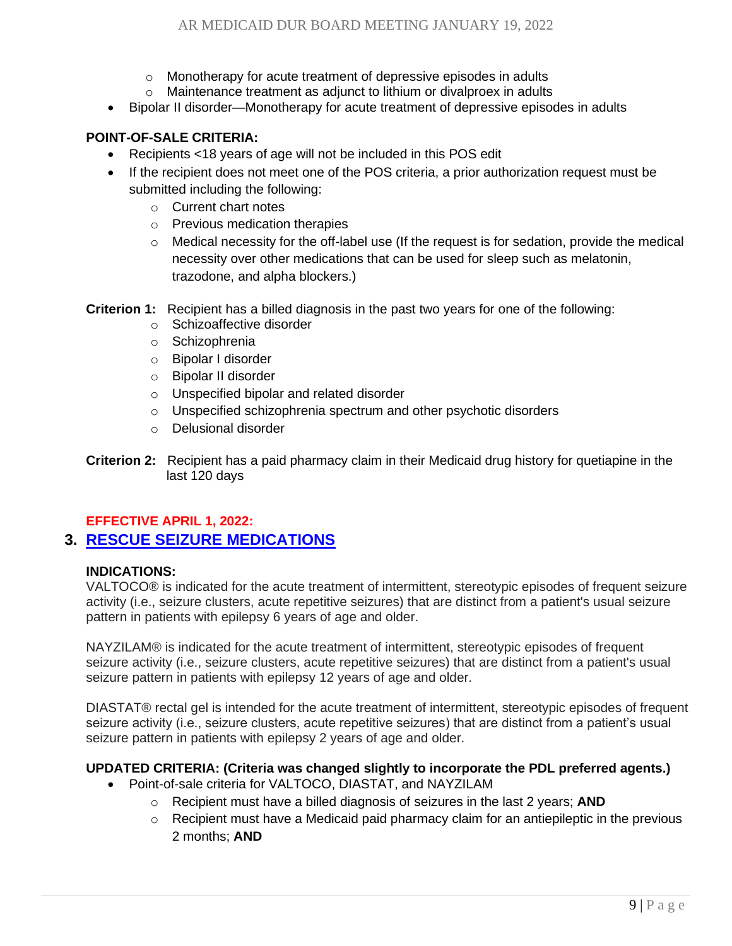- o Monotherapy for acute treatment of depressive episodes in adults
- Maintenance treatment as adjunct to lithium or divalproex in adults
- Bipolar II disorder—Monotherapy for acute treatment of depressive episodes in adults

#### **POINT-OF-SALE CRITERIA:**

- Recipients <18 years of age will not be included in this POS edit
- If the recipient does not meet one of the POS criteria, a prior authorization request must be submitted including the following:
	- o Current chart notes
	- o Previous medication therapies
	- $\circ$  Medical necessity for the off-label use (If the request is for sedation, provide the medical necessity over other medications that can be used for sleep such as melatonin, trazodone, and alpha blockers.)

**Criterion 1:** Recipient has a billed diagnosis in the past two years for one of the following:

- o Schizoaffective disorder
- o Schizophrenia
- o Bipolar I disorder
- o Bipolar II disorder
- o Unspecified bipolar and related disorder
- o Unspecified schizophrenia spectrum and other psychotic disorders
- o Delusional disorder
- **Criterion 2:** Recipient has a paid pharmacy claim in their Medicaid drug history for quetiapine in the last 120 days

#### <span id="page-8-0"></span>**EFFECTIVE APRIL 1, 2022:**

## **3. [RESCUE SEIZURE MEDICATIONS](#page-0-0)**

#### **INDICATIONS:**

VALTOCO® is indicated for the acute treatment of intermittent, stereotypic episodes of frequent seizure activity (i.e., seizure clusters, acute repetitive seizures) that are distinct from a patient's usual seizure pattern in patients with epilepsy 6 years of age and older.

NAYZILAM® is indicated for the acute treatment of intermittent, stereotypic episodes of frequent seizure activity (i.e., seizure clusters, acute repetitive seizures) that are distinct from a patient's usual seizure pattern in patients with epilepsy 12 years of age and older.

DIASTAT® rectal gel is intended for the acute treatment of intermittent, stereotypic episodes of frequent seizure activity (i.e., seizure clusters, acute repetitive seizures) that are distinct from a patient's usual seizure pattern in patients with epilepsy 2 years of age and older.

### **UPDATED CRITERIA: (Criteria was changed slightly to incorporate the PDL preferred agents.)**

- Point-of-sale criteria for VALTOCO, DIASTAT, and NAYZILAM
	- o Recipient must have a billed diagnosis of seizures in the last 2 years; **AND**
	- $\circ$  Recipient must have a Medicaid paid pharmacy claim for an antiepileptic in the previous 2 months; **AND**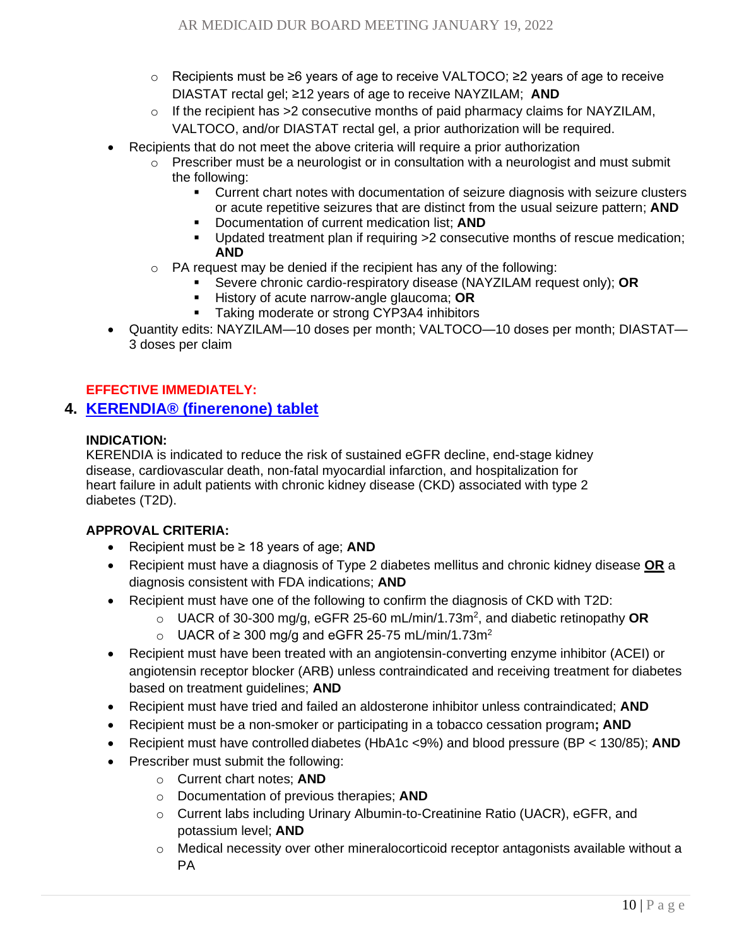- o Recipients must be ≥6 years of age to receive VALTOCO; ≥2 years of age to receive DIASTAT rectal gel; ≥12 years of age to receive NAYZILAM; **AND**
- o If the recipient has >2 consecutive months of paid pharmacy claims for NAYZILAM, VALTOCO, and/or DIASTAT rectal gel, a prior authorization will be required.
- Recipients that do not meet the above criteria will require a prior authorization
	- $\circ$  Prescriber must be a neurologist or in consultation with a neurologist and must submit the following:
		- Current chart notes with documentation of seizure diagnosis with seizure clusters or acute repetitive seizures that are distinct from the usual seizure pattern; **AND**
		- **Documentation of current medication list; AND**
		- Updated treatment plan if requiring  $>2$  consecutive months of rescue medication; **AND**
	- $\circ$  PA request may be denied if the recipient has any of the following:
		- Severe chronic cardio-respiratory disease (NAYZILAM request only); **OR**
		- History of acute narrow-angle glaucoma; OR
		- **EXECT** Taking moderate or strong CYP3A4 inhibitors
- Quantity edits: NAYZILAM—10 doses per month; VALTOCO—10 doses per month; DIASTAT— 3 doses per claim

### <span id="page-9-0"></span>**EFFECTIVE IMMEDIATELY:**

# **4. [KERENDIA®](#page-0-0) (finerenone) tablet**

#### **INDICATION:**

KERENDIA is indicated to reduce the risk of sustained eGFR decline, end-stage kidney disease, cardiovascular death, non-fatal myocardial infarction, and hospitalization for heart failure in adult patients with chronic kidney disease (CKD) associated with type 2 diabetes (T2D).

- Recipient must be ≥ 18 years of age; **AND**
- Recipient must have a diagnosis of Type 2 diabetes mellitus and chronic kidney disease **OR** a diagnosis consistent with FDA indications; **AND**
- Recipient must have one of the following to confirm the diagnosis of CKD with T2D:
	- o UACR of 30-300 mg/g, eGFR 25-60 mL/min/1.73m<sup>2</sup> , and diabetic retinopathy **OR**
	- o UACR of ≥ 300 mg/g and eGFR 25-75 mL/min/1.73m<sup>2</sup>
- Recipient must have been treated with an angiotensin-converting enzyme inhibitor (ACEI) or angiotensin receptor blocker (ARB) unless contraindicated and receiving treatment for diabetes based on treatment guidelines; **AND**
- Recipient must have tried and failed an aldosterone inhibitor unless contraindicated; **AND**
- Recipient must be a non-smoker or participating in a tobacco cessation program**; AND**
- Recipient must have controlled diabetes (HbA1c <9%) and blood pressure (BP < 130/85); **AND**
- Prescriber must submit the following:
	- o Current chart notes; **AND**
	- o Documentation of previous therapies; **AND**
	- o Current labs including Urinary Albumin-to-Creatinine Ratio (UACR), eGFR, and potassium level; **AND**
	- $\circ$  Medical necessity over other mineralocorticoid receptor antagonists available without a PA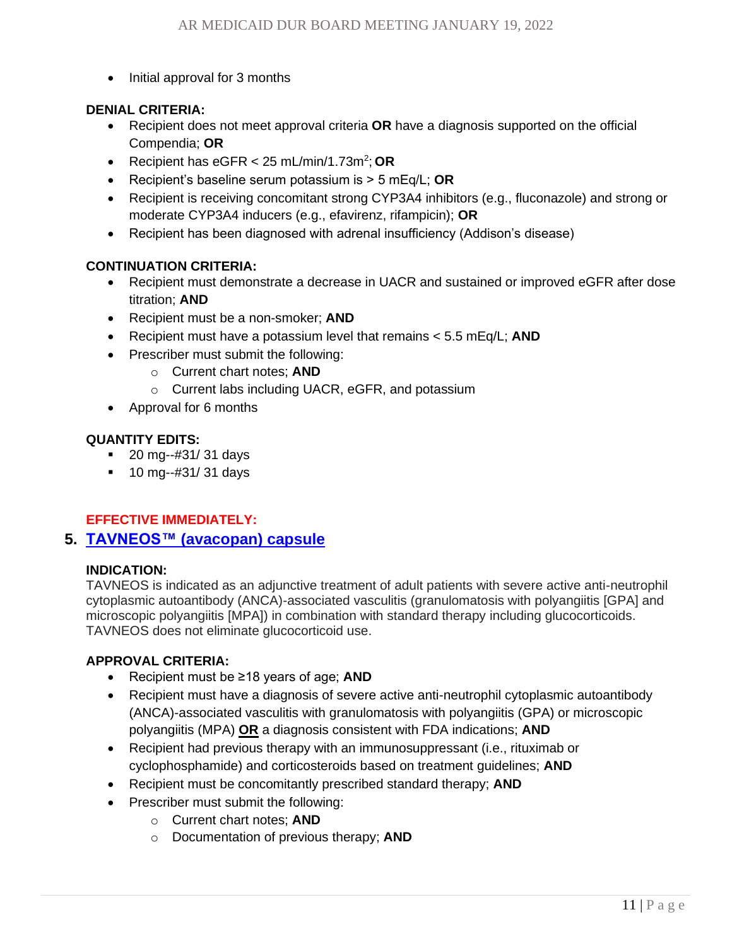• Initial approval for 3 months

#### **DENIAL CRITERIA:**

- Recipient does not meet approval criteria **OR** have a diagnosis supported on the official Compendia; **OR**
- Recipient has eGFR < 25 mL/min/1.73m<sup>2</sup>; OR
- Recipient's baseline serum potassium is > 5 mEq/L; **OR**
- Recipient is receiving concomitant strong CYP3A4 inhibitors (e.g., fluconazole) and strong or moderate CYP3A4 inducers (e.g., efavirenz, rifampicin); **OR**
- Recipient has been diagnosed with adrenal insufficiency (Addison's disease)

#### **CONTINUATION CRITERIA:**

- Recipient must demonstrate a decrease in UACR and sustained or improved eGFR after dose titration; **AND**
- Recipient must be a non-smoker; **AND**
- Recipient must have a potassium level that remains < 5.5 mEq/L; **AND**
- Prescriber must submit the following:
	- o Current chart notes; **AND**
	- o Current labs including UACR, eGFR, and potassium
- Approval for 6 months

#### **QUANTITY EDITS:**

- 20 mg--#31/ 31 days
- 10 mg--#31/ 31 days

### <span id="page-10-0"></span>**EFFECTIVE IMMEDIATELY:**

### **5. TAVNEOS™ [\(avacopan\) capsule](#page-0-0)**

#### **INDICATION:**

TAVNEOS is indicated as an adjunctive treatment of adult patients with severe active anti-neutrophil cytoplasmic autoantibody (ANCA)-associated vasculitis (granulomatosis with polyangiitis [GPA] and microscopic polyangiitis [MPA]) in combination with standard therapy including glucocorticoids. TAVNEOS does not eliminate glucocorticoid use.

- Recipient must be ≥18 years of age; **AND**
- Recipient must have a diagnosis of severe active anti-neutrophil cytoplasmic autoantibody (ANCA)-associated vasculitis with granulomatosis with polyangiitis (GPA) or microscopic polyangiitis (MPA) **OR** a diagnosis consistent with FDA indications; **AND**
- Recipient had previous therapy with an immunosuppressant (i.e., rituximab or cyclophosphamide) and corticosteroids based on treatment guidelines; **AND**
- Recipient must be concomitantly prescribed standard therapy; **AND**
- Prescriber must submit the following:
	- o Current chart notes; **AND**
	- o Documentation of previous therapy; **AND**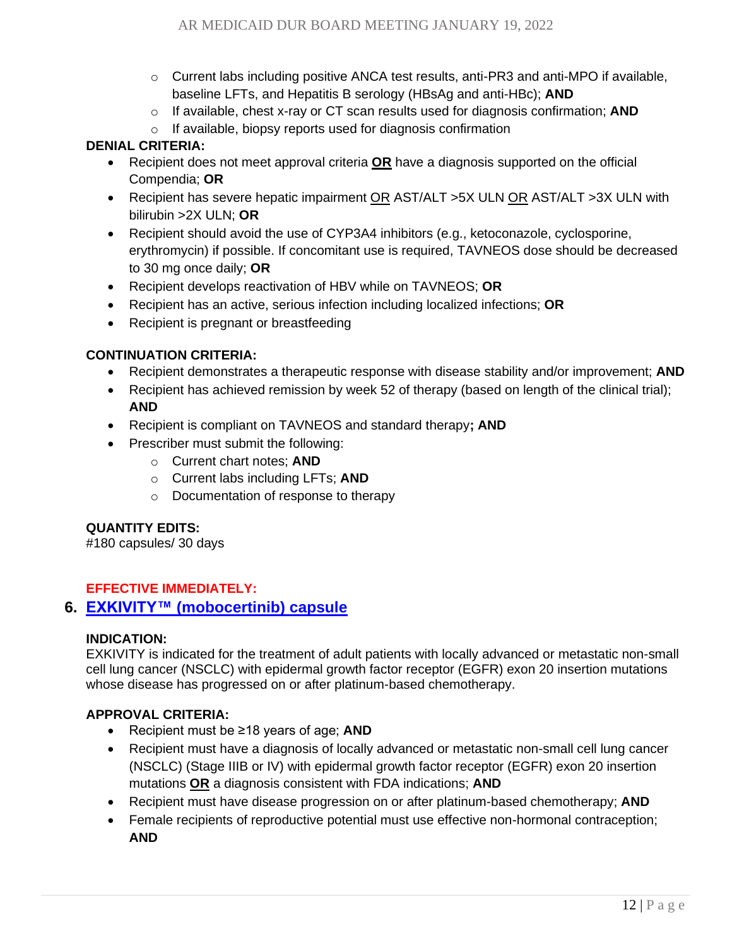- $\circ$  Current labs including positive ANCA test results, anti-PR3 and anti-MPO if available, baseline LFTs, and Hepatitis B serology (HBsAg and anti-HBc); **AND**
- o If available, chest x-ray or CT scan results used for diagnosis confirmation; **AND**
- o If available, biopsy reports used for diagnosis confirmation

- Recipient does not meet approval criteria **OR** have a diagnosis supported on the official Compendia; **OR**
- Recipient has severe hepatic impairment OR AST/ALT >5X ULN OR AST/ALT >3X ULN with bilirubin >2X ULN; **OR**
- Recipient should avoid the use of CYP3A4 inhibitors (e.g., ketoconazole, cyclosporine, erythromycin) if possible. If concomitant use is required, TAVNEOS dose should be decreased to 30 mg once daily; **OR**
- Recipient develops reactivation of HBV while on TAVNEOS; **OR**
- Recipient has an active, serious infection including localized infections; **OR**
- Recipient is pregnant or breastfeeding

### **CONTINUATION CRITERIA:**

- Recipient demonstrates a therapeutic response with disease stability and/or improvement; **AND**
- Recipient has achieved remission by week 52 of therapy (based on length of the clinical trial); **AND**
- Recipient is compliant on TAVNEOS and standard therapy**; AND**
- Prescriber must submit the following:
	- o Current chart notes; **AND**
	- o Current labs including LFTs; **AND**
	- o Documentation of response to therapy

### **QUANTITY EDITS:**

#180 capsules/ 30 days

### <span id="page-11-0"></span>**EFFECTIVE IMMEDIATELY:**

### **6. EXKIVITY™ [\(mobocertinib\) capsule](#page-0-0)**

#### **INDICATION:**

EXKIVITY is indicated for the treatment of adult patients with locally advanced or metastatic non-small cell lung cancer (NSCLC) with epidermal growth factor receptor (EGFR) exon 20 insertion mutations whose disease has progressed on or after platinum-based chemotherapy.

- Recipient must be ≥18 years of age; **AND**
- Recipient must have a diagnosis of locally advanced or metastatic non-small cell lung cancer (NSCLC) (Stage IIIB or IV) with epidermal growth factor receptor (EGFR) exon 20 insertion mutations **OR** a diagnosis consistent with FDA indications; **AND**
- Recipient must have disease progression on or after platinum-based chemotherapy; **AND**
- Female recipients of reproductive potential must use effective non-hormonal contraception; **AND**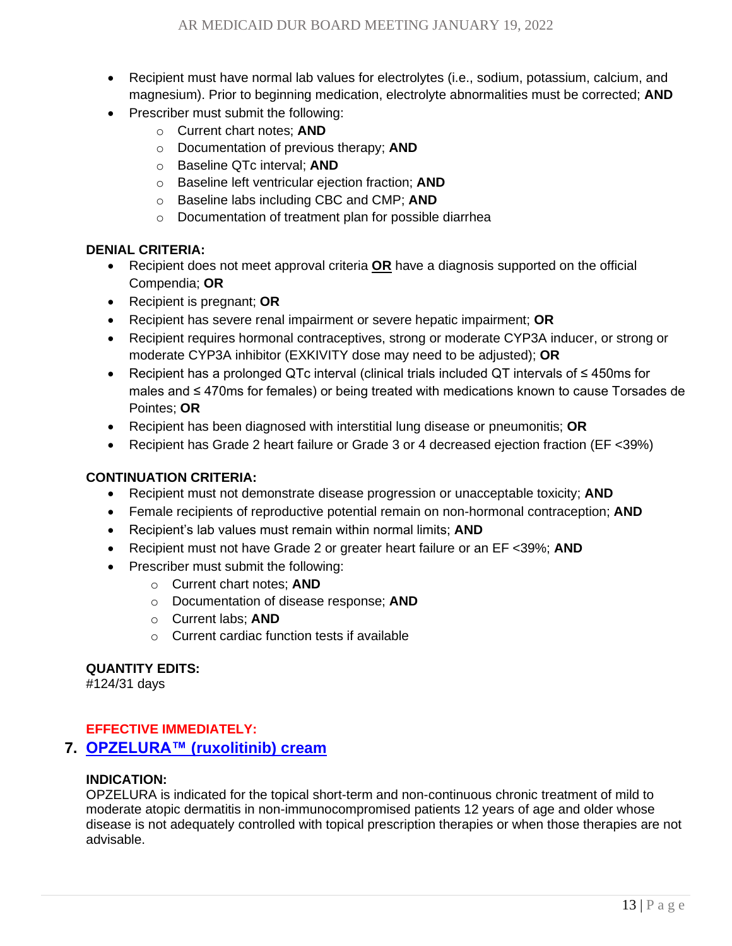- Recipient must have normal lab values for electrolytes (i.e., sodium, potassium, calcium, and magnesium). Prior to beginning medication, electrolyte abnormalities must be corrected; **AND**
- Prescriber must submit the following:
	- o Current chart notes; **AND**
	- o Documentation of previous therapy; **AND**
	- o Baseline QTc interval; **AND**
	- o Baseline left ventricular ejection fraction; **AND**
	- o Baseline labs including CBC and CMP; **AND**
	- o Documentation of treatment plan for possible diarrhea

- Recipient does not meet approval criteria **OR** have a diagnosis supported on the official Compendia; **OR**
- Recipient is pregnant; **OR**
- Recipient has severe renal impairment or severe hepatic impairment; **OR**
- Recipient requires hormonal contraceptives, strong or moderate CYP3A inducer, or strong or moderate CYP3A inhibitor (EXKIVITY dose may need to be adjusted); **OR**
- Recipient has a prolonged QTc interval (clinical trials included QT intervals of ≤ 450ms for males and ≤ 470ms for females) or being treated with medications known to cause Torsades de Pointes; **OR**
- Recipient has been diagnosed with interstitial lung disease or pneumonitis; **OR**
- Recipient has Grade 2 heart failure or Grade 3 or 4 decreased ejection fraction (EF <39%)

### **CONTINUATION CRITERIA:**

- Recipient must not demonstrate disease progression or unacceptable toxicity; **AND**
- Female recipients of reproductive potential remain on non-hormonal contraception; **AND**
- Recipient's lab values must remain within normal limits; **AND**
- Recipient must not have Grade 2 or greater heart failure or an EF <39%; **AND**
- Prescriber must submit the following:
	- o Current chart notes; **AND**
	- o Documentation of disease response; **AND**
	- o Current labs; **AND**
	- o Current cardiac function tests if available

## **QUANTITY EDITS:**

#124/31 days

### <span id="page-12-0"></span>**EFFECTIVE IMMEDIATELY:**

## **7. OPZELURA™ [\(ruxolitinib\) cream](#page-0-0)**

#### **INDICATION:**

OPZELURA is indicated for the topical short-term and non-continuous chronic treatment of mild to moderate atopic dermatitis in non-immunocompromised patients 12 years of age and older whose disease is not adequately controlled with topical prescription therapies or when those therapies are not advisable.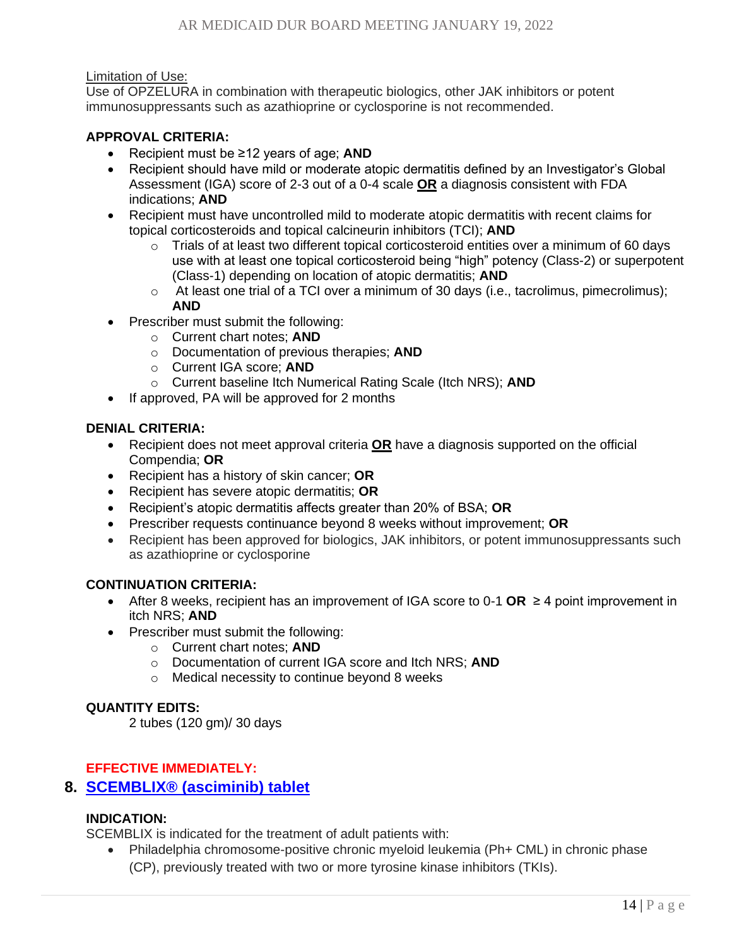#### Limitation of Use:

Use of OPZELURA in combination with therapeutic biologics, other JAK inhibitors or potent immunosuppressants such as azathioprine or cyclosporine is not recommended.

#### **APPROVAL CRITERIA:**

- Recipient must be ≥12 years of age; **AND**
- Recipient should have mild or moderate atopic dermatitis defined by an Investigator's Global Assessment (IGA) score of 2-3 out of a 0-4 scale **OR** a diagnosis consistent with FDA indications; **AND**
- Recipient must have uncontrolled mild to moderate atopic dermatitis with recent claims for topical corticosteroids and topical calcineurin inhibitors (TCI); **AND**
	- $\circ$  Trials of at least two different topical corticosteroid entities over a minimum of 60 days use with at least one topical corticosteroid being "high" potency (Class-2) or superpotent (Class-1) depending on location of atopic dermatitis; **AND**
	- o At least one trial of a TCI over a minimum of 30 days (i.e., tacrolimus, pimecrolimus); **AND**
- Prescriber must submit the following:
	- o Current chart notes; **AND**
	- o Documentation of previous therapies; **AND**
	- o Current IGA score; **AND**
	- o Current baseline Itch Numerical Rating Scale (Itch NRS); **AND**
- If approved, PA will be approved for 2 months

#### **DENIAL CRITERIA:**

- Recipient does not meet approval criteria **OR** have a diagnosis supported on the official Compendia; **OR**
- Recipient has a history of skin cancer; **OR**
- Recipient has severe atopic dermatitis; **OR**
- Recipient's atopic dermatitis affects greater than 20% of BSA; **OR**
- Prescriber requests continuance beyond 8 weeks without improvement; **OR**
- Recipient has been approved for biologics, JAK inhibitors, or potent immunosuppressants such as azathioprine or cyclosporine

### **CONTINUATION CRITERIA:**

- After 8 weeks, recipient has an improvement of IGA score to 0-1 **OR** ≥ 4 point improvement in itch NRS; **AND**
- Prescriber must submit the following:
	- o Current chart notes; **AND**
	- o Documentation of current IGA score and Itch NRS; **AND**
	- o Medical necessity to continue beyond 8 weeks

### **QUANTITY EDITS:**

2 tubes (120 gm)/ 30 days

### <span id="page-13-0"></span>**EFFECTIVE IMMEDIATELY:**

## **8. SCEMBLIX® [\(asciminib\) tablet](#page-0-0)**

### **INDICATION:**

SCEMBLIX is indicated for the treatment of adult patients with:

• Philadelphia chromosome-positive chronic myeloid leukemia (Ph+ CML) in chronic phase (CP), previously treated with two or more tyrosine kinase inhibitors (TKIs).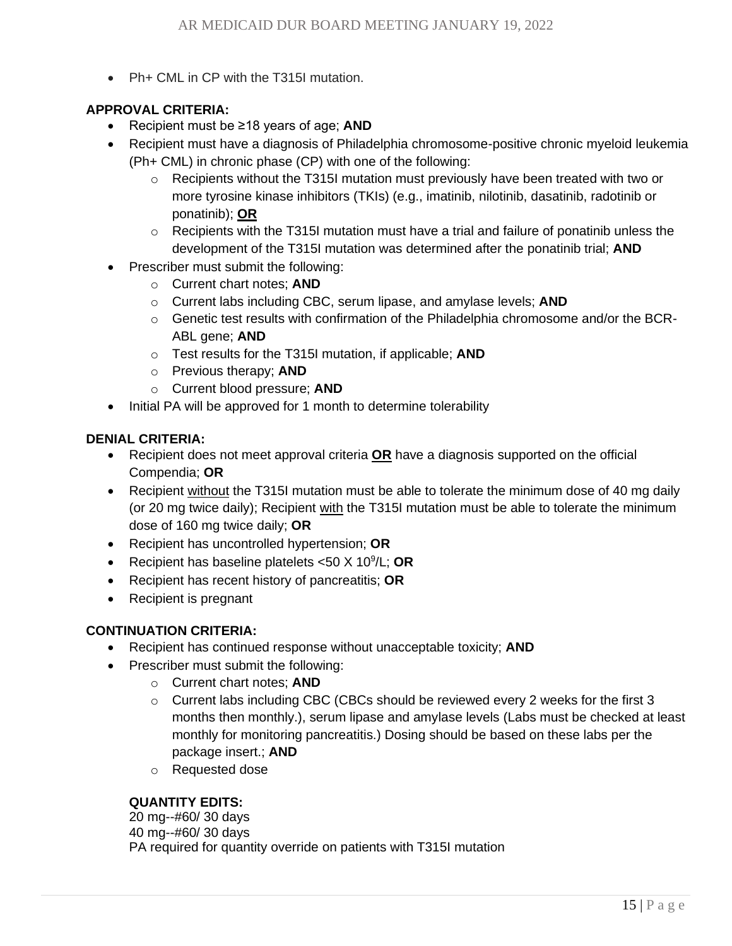• Ph+ CML in CP with the T315I mutation.

### **APPROVAL CRITERIA:**

- Recipient must be ≥18 years of age; **AND**
- Recipient must have a diagnosis of Philadelphia chromosome-positive chronic myeloid leukemia (Ph+ CML) in chronic phase (CP) with one of the following:
	- $\circ$  Recipients without the T315I mutation must previously have been treated with two or more tyrosine kinase inhibitors (TKIs) (e.g., imatinib, nilotinib, dasatinib, radotinib or ponatinib); **OR**
	- $\circ$  Recipients with the T315I mutation must have a trial and failure of ponatinib unless the development of the T315I mutation was determined after the ponatinib trial; **AND**
- Prescriber must submit the following:
	- o Current chart notes; **AND**
	- o Current labs including CBC, serum lipase, and amylase levels; **AND**
	- $\circ$  Genetic test results with confirmation of the Philadelphia chromosome and/or the BCR-ABL gene; **AND**
	- o Test results for the T315I mutation, if applicable; **AND**
	- o Previous therapy; **AND**
	- o Current blood pressure; **AND**
- Initial PA will be approved for 1 month to determine tolerability

#### **DENIAL CRITERIA:**

- Recipient does not meet approval criteria **OR** have a diagnosis supported on the official Compendia; **OR**
- Recipient without the T315I mutation must be able to tolerate the minimum dose of 40 mg daily (or 20 mg twice daily); Recipient with the T315I mutation must be able to tolerate the minimum dose of 160 mg twice daily; **OR**
- Recipient has uncontrolled hypertension; **OR**
- Recipient has baseline platelets <50 X 10<sup>9</sup> /L; **OR**
- Recipient has recent history of pancreatitis; **OR**
- Recipient is pregnant

#### **CONTINUATION CRITERIA:**

- Recipient has continued response without unacceptable toxicity; **AND**
- Prescriber must submit the following:
	- o Current chart notes; **AND**
	- $\circ$  Current labs including CBC (CBCs should be reviewed every 2 weeks for the first 3 months then monthly.), serum lipase and amylase levels (Labs must be checked at least monthly for monitoring pancreatitis.) Dosing should be based on these labs per the package insert.; **AND**
	- o Requested dose

#### **QUANTITY EDITS:**

20 mg--#60/ 30 days 40 mg--#60/ 30 days PA required for quantity override on patients with T315I mutation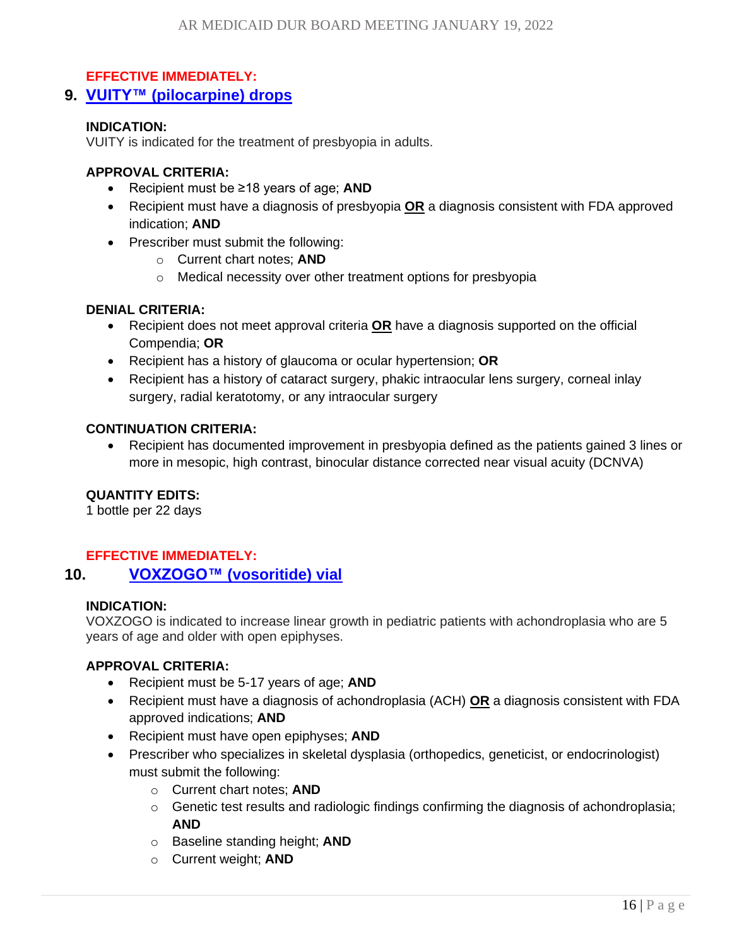#### <span id="page-15-0"></span>**EFFECTIVE IMMEDIATELY:**

**9. VUITY™ [\(pilocarpine\) drops](#page-0-0)**

#### **INDICATION:**

VUITY is indicated for the treatment of presbyopia in adults.

#### **APPROVAL CRITERIA:**

- Recipient must be ≥18 years of age; **AND**
- Recipient must have a diagnosis of presbyopia **OR** a diagnosis consistent with FDA approved indication; **AND**
- Prescriber must submit the following:
	- o Current chart notes; **AND**
	- o Medical necessity over other treatment options for presbyopia

#### **DENIAL CRITERIA:**

- Recipient does not meet approval criteria **OR** have a diagnosis supported on the official Compendia; **OR**
- Recipient has a history of glaucoma or ocular hypertension; **OR**
- Recipient has a history of cataract surgery, phakic intraocular lens surgery, corneal inlay surgery, radial keratotomy, or any intraocular surgery

#### **CONTINUATION CRITERIA:**

• Recipient has documented improvement in presbyopia defined as the patients gained 3 lines or more in mesopic, high contrast, binocular distance corrected near visual acuity (DCNVA)

### **QUANTITY EDITS:**

1 bottle per 22 days

#### <span id="page-15-1"></span>**EFFECTIVE IMMEDIATELY:**

#### **10. VOXZOGO™ [\(vosoritide\) vial](#page-0-0)**

#### **INDICATION:**

VOXZOGO is indicated to increase linear growth in pediatric patients with achondroplasia who are 5 years of age and older with open epiphyses.

- Recipient must be 5-17 years of age; **AND**
- Recipient must have a diagnosis of achondroplasia (ACH) **OR** a diagnosis consistent with FDA approved indications; **AND**
- Recipient must have open epiphyses; **AND**
- Prescriber who specializes in skeletal dysplasia (orthopedics, geneticist, or endocrinologist) must submit the following:
	- o Current chart notes; **AND**
	- o Genetic test results and radiologic findings confirming the diagnosis of achondroplasia; **AND**
	- o Baseline standing height; **AND**
	- o Current weight; **AND**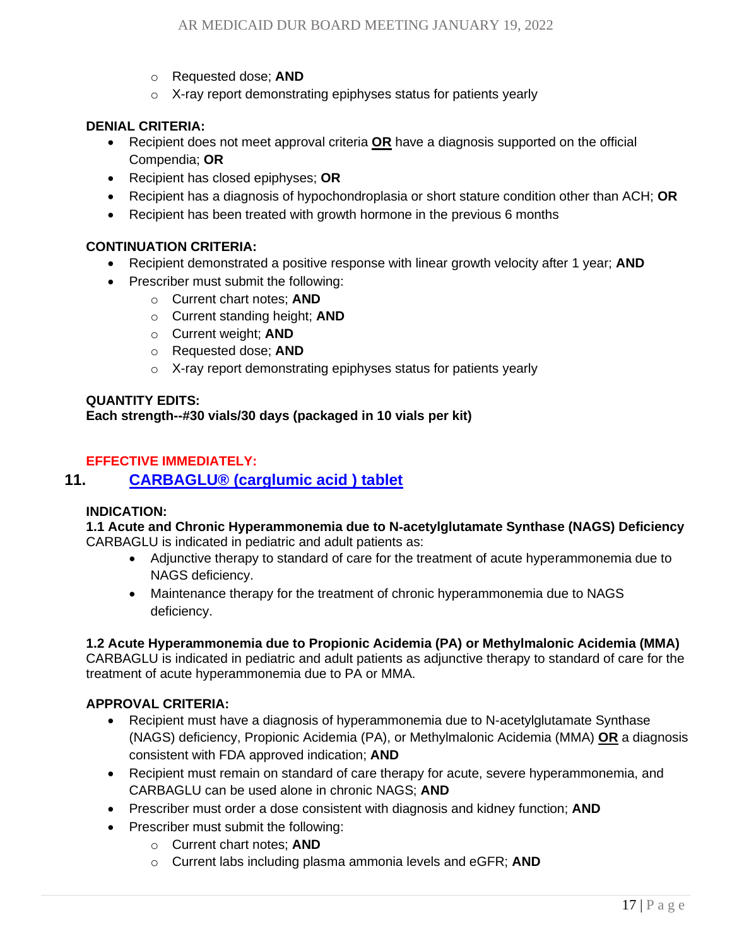- o Requested dose; **AND**
- o X-ray report demonstrating epiphyses status for patients yearly

- Recipient does not meet approval criteria **OR** have a diagnosis supported on the official Compendia; **OR**
- Recipient has closed epiphyses; **OR**
- Recipient has a diagnosis of hypochondroplasia or short stature condition other than ACH; **OR**
- Recipient has been treated with growth hormone in the previous 6 months

#### **CONTINUATION CRITERIA:**

- Recipient demonstrated a positive response with linear growth velocity after 1 year; **AND**
- Prescriber must submit the following:
	- o Current chart notes; **AND**
	- o Current standing height; **AND**
	- o Current weight; **AND**
	- o Requested dose; **AND**
	- o X-ray report demonstrating epiphyses status for patients yearly

#### **QUANTITY EDITS: Each strength--#30 vials/30 days (packaged in 10 vials per kit)**

#### <span id="page-16-0"></span>**EFFECTIVE IMMEDIATELY:**

## **11. CARBAGLU® [\(carglumic acid \) tablet](#page-0-0)**

#### **INDICATION:**

#### **1.1 Acute and Chronic Hyperammonemia due to N**‑**acetylglutamate Synthase (NAGS) Deficiency** CARBAGLU is indicated in pediatric and adult patients as:

- Adjunctive therapy to standard of care for the treatment of acute hyperammonemia due to NAGS deficiency.
- Maintenance therapy for the treatment of chronic hyperammonemia due to NAGS deficiency.

#### **1.2 Acute Hyperammonemia due to Propionic Acidemia (PA) or Methylmalonic Acidemia (MMA)**

CARBAGLU is indicated in pediatric and adult patients as adjunctive therapy to standard of care for the treatment of acute hyperammonemia due to PA or MMA.

- Recipient must have a diagnosis of hyperammonemia due to N-acetylglutamate Synthase (NAGS) deficiency, Propionic Acidemia (PA), or Methylmalonic Acidemia (MMA) **OR** a diagnosis consistent with FDA approved indication; **AND**
- Recipient must remain on standard of care therapy for acute, severe hyperammonemia, and CARBAGLU can be used alone in chronic NAGS; **AND**
- Prescriber must order a dose consistent with diagnosis and kidney function; **AND**
- Prescriber must submit the following:
	- o Current chart notes; **AND**
	- o Current labs including plasma ammonia levels and eGFR; **AND**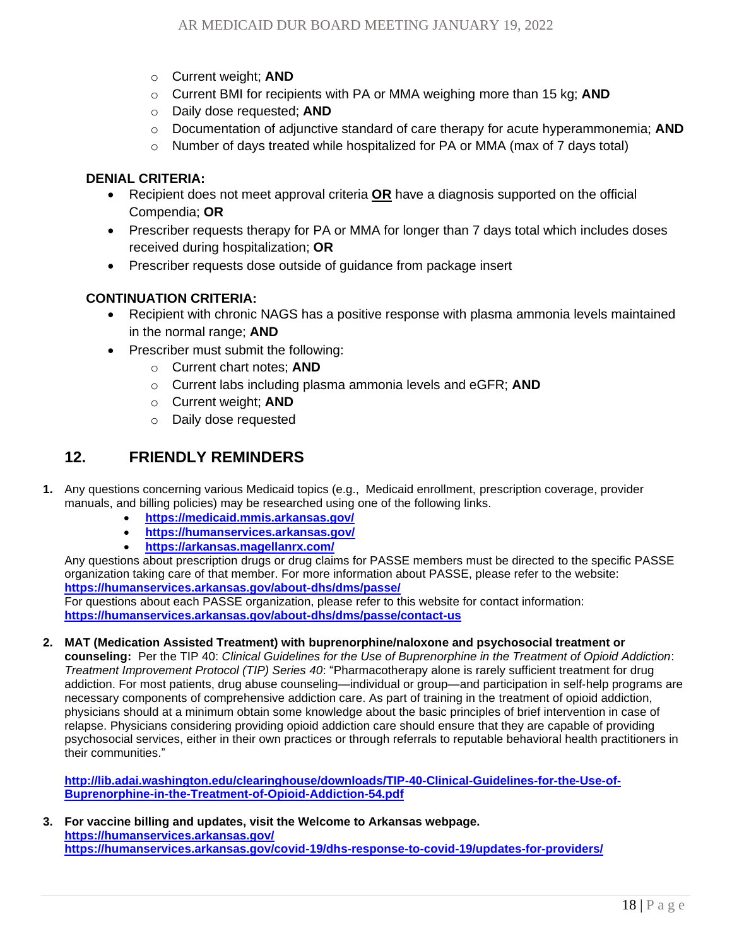- o Current weight; **AND**
- o Current BMI for recipients with PA or MMA weighing more than 15 kg; **AND**
- o Daily dose requested; **AND**
- o Documentation of adjunctive standard of care therapy for acute hyperammonemia; **AND**
- $\circ$  Number of days treated while hospitalized for PA or MMA (max of 7 days total)

- Recipient does not meet approval criteria **OR** have a diagnosis supported on the official Compendia; **OR**
- Prescriber requests therapy for PA or MMA for longer than 7 days total which includes doses received during hospitalization; **OR**
- Prescriber requests dose outside of guidance from package insert

#### **CONTINUATION CRITERIA:**

- Recipient with chronic NAGS has a positive response with plasma ammonia levels maintained in the normal range; **AND**
- Prescriber must submit the following:
	- o Current chart notes; **AND**
	- o Current labs including plasma ammonia levels and eGFR; **AND**
	- o Current weight; **AND**
	- o Daily dose requested

# <span id="page-17-0"></span>**12. [FRIENDLY REMINDERS](#page-0-0)**

- **1.** Any questions concerning various Medicaid topics (e.g., Medicaid enrollment, prescription coverage, provider manuals, and billing policies) may be researched using one of the following links.
	- **<https://medicaid.mmis.arkansas.gov/>**
	- **<https://humanservices.arkansas.gov/>**
	- **<https://arkansas.magellanrx.com/>**

Any questions about prescription drugs or drug claims for PASSE members must be directed to the specific PASSE organization taking care of that member. For more information about PASSE, please refer to the website: **<https://humanservices.arkansas.gov/about-dhs/dms/passe/>**

For questions about each PASSE organization, please refer to this website for contact information: **<https://humanservices.arkansas.gov/about-dhs/dms/passe/contact-us>**

**2. MAT (Medication Assisted Treatment) with buprenorphine/naloxone and psychosocial treatment or** 

**counseling:** Per the TIP 40: *Clinical Guidelines for the Use of Buprenorphine in the Treatment of Opioid Addiction*: *Treatment Improvement Protocol (TIP) Series 40*: "Pharmacotherapy alone is rarely sufficient treatment for drug addiction. For most patients, drug abuse counseling—individual or group—and participation in self-help programs are necessary components of comprehensive addiction care. As part of training in the treatment of opioid addiction, physicians should at a minimum obtain some knowledge about the basic principles of brief intervention in case of relapse. Physicians considering providing opioid addiction care should ensure that they are capable of providing psychosocial services, either in their own practices or through referrals to reputable behavioral health practitioners in their communities."

**[http://lib.adai.washington.edu/clearinghouse/downloads/TIP-40-Clinical-Guidelines-for-the-Use-of-](http://lib.adai.washington.edu/clearinghouse/downloads/TIP-40-Clinical-Guidelines-for-the-Use-of-Buprenorphine-in-the-Treatment-of-Opioid-Addiction-54.pdf)[Buprenorphine-in-the-Treatment-of-Opioid-Addiction-54.pdf](http://lib.adai.washington.edu/clearinghouse/downloads/TIP-40-Clinical-Guidelines-for-the-Use-of-Buprenorphine-in-the-Treatment-of-Opioid-Addiction-54.pdf)**

**3. For vaccine billing and updates, visit the Welcome to Arkansas webpage. <https://humanservices.arkansas.gov/> <https://humanservices.arkansas.gov/covid-19/dhs-response-to-covid-19/updates-for-providers/>**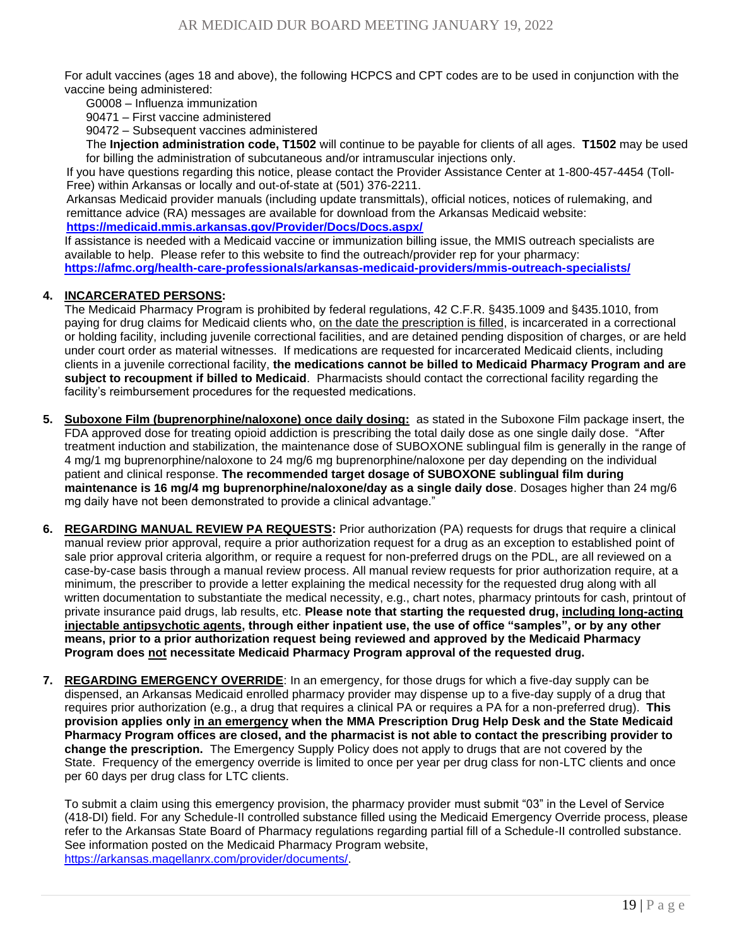For adult vaccines (ages 18 and above), the following HCPCS and CPT codes are to be used in conjunction with the vaccine being administered:

G0008 – Influenza immunization

90471 – First vaccine administered

90472 – Subsequent vaccines administered

The **Injection administration code, T1502** will continue to be payable for clients of all ages. **T1502** may be used for billing the administration of subcutaneous and/or intramuscular injections only.

If you have questions regarding this notice, please contact the Provider Assistance Center at 1-800-457-4454 (Toll-Free) within Arkansas or locally and out-of-state at (501) 376-2211.

Arkansas Medicaid provider manuals (including update transmittals), official notices, notices of rulemaking, and remittance advice (RA) messages are available for download from the Arkansas Medicaid website: **<https://medicaid.mmis.arkansas.gov/Provider/Docs/Docs.aspx/>**

If assistance is needed with a Medicaid vaccine or immunization billing issue, the MMIS outreach specialists are available to help. Please refer to this website to find the outreach/provider rep for your pharmacy: **<https://afmc.org/health-care-professionals/arkansas-medicaid-providers/mmis-outreach-specialists/>**

#### **4. INCARCERATED PERSONS:**

The Medicaid Pharmacy Program is prohibited by federal regulations, 42 C.F.R. §435.1009 and §435.1010, from paying for drug claims for Medicaid clients who, on the date the prescription is filled, is incarcerated in a correctional or holding facility, including juvenile correctional facilities, and are detained pending disposition of charges, or are held under court order as material witnesses. If medications are requested for incarcerated Medicaid clients, including clients in a juvenile correctional facility, **the medications cannot be billed to Medicaid Pharmacy Program and are subject to recoupment if billed to Medicaid**. Pharmacists should contact the correctional facility regarding the facility's reimbursement procedures for the requested medications.

- **5. Suboxone Film (buprenorphine/naloxone) once daily dosing:** as stated in the Suboxone Film package insert, the FDA approved dose for treating opioid addiction is prescribing the total daily dose as one single daily dose. "After treatment induction and stabilization, the maintenance dose of SUBOXONE sublingual film is generally in the range of 4 mg/1 mg buprenorphine/naloxone to 24 mg/6 mg buprenorphine/naloxone per day depending on the individual patient and clinical response. **The recommended target dosage of SUBOXONE sublingual film during maintenance is 16 mg/4 mg buprenorphine/naloxone/day as a single daily dose**. Dosages higher than 24 mg/6 mg daily have not been demonstrated to provide a clinical advantage."
- **6. REGARDING MANUAL REVIEW PA REQUESTS:** Prior authorization (PA) requests for drugs that require a clinical manual review prior approval, require a prior authorization request for a drug as an exception to established point of sale prior approval criteria algorithm, or require a request for non-preferred drugs on the PDL, are all reviewed on a case-by-case basis through a manual review process. All manual review requests for prior authorization require, at a minimum, the prescriber to provide a letter explaining the medical necessity for the requested drug along with all written documentation to substantiate the medical necessity, e.g., chart notes, pharmacy printouts for cash, printout of private insurance paid drugs, lab results, etc. **Please note that starting the requested drug, including long-acting injectable antipsychotic agents, through either inpatient use, the use of office "samples", or by any other means, prior to a prior authorization request being reviewed and approved by the Medicaid Pharmacy Program does not necessitate Medicaid Pharmacy Program approval of the requested drug.**
- **7. REGARDING EMERGENCY OVERRIDE**: In an emergency, for those drugs for which a five-day supply can be dispensed, an Arkansas Medicaid enrolled pharmacy provider may dispense up to a five-day supply of a drug that requires prior authorization (e.g., a drug that requires a clinical PA or requires a PA for a non-preferred drug). **This provision applies only in an emergency when the MMA Prescription Drug Help Desk and the State Medicaid Pharmacy Program offices are closed, and the pharmacist is not able to contact the prescribing provider to change the prescription.** The Emergency Supply Policy does not apply to drugs that are not covered by the State. Frequency of the emergency override is limited to once per year per drug class for non-LTC clients and once per 60 days per drug class for LTC clients.

To submit a claim using this emergency provision, the pharmacy provider must submit "03" in the Level of Service (418-DI) field. For any Schedule-II controlled substance filled using the Medicaid Emergency Override process, please refer to the Arkansas State Board of Pharmacy regulations regarding partial fill of a Schedule-II controlled substance. See information posted on the Medicaid Pharmacy Program website, [https://arkansas.magellanrx.com/provider/documents/.](https://arkansas.magellanrx.com/provider/documents/)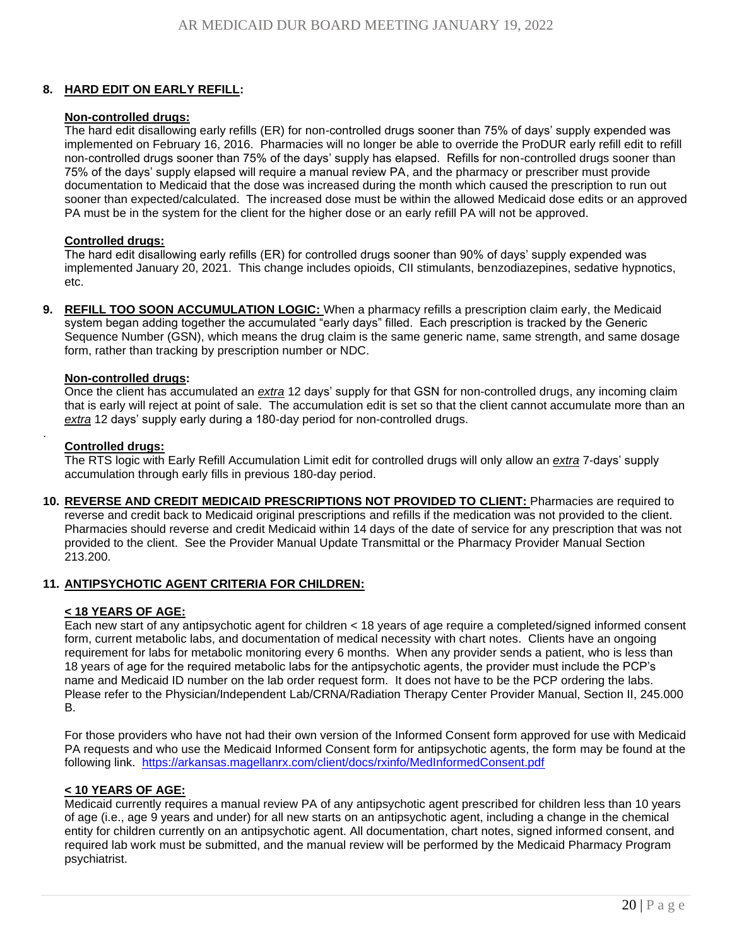#### **8. HARD EDIT ON EARLY REFILL:**

#### **Non-controlled drugs:**

The hard edit disallowing early refills (ER) for non-controlled drugs sooner than 75% of days' supply expended was implemented on February 16, 2016. Pharmacies will no longer be able to override the ProDUR early refill edit to refill non-controlled drugs sooner than 75% of the days' supply has elapsed. Refills for non-controlled drugs sooner than 75% of the days' supply elapsed will require a manual review PA, and the pharmacy or prescriber must provide documentation to Medicaid that the dose was increased during the month which caused the prescription to run out sooner than expected/calculated. The increased dose must be within the allowed Medicaid dose edits or an approved PA must be in the system for the client for the higher dose or an early refill PA will not be approved.

#### **Controlled drugs:**

The hard edit disallowing early refills (ER) for controlled drugs sooner than 90% of days' supply expended was implemented January 20, 2021. This change includes opioids, CII stimulants, benzodiazepines, sedative hypnotics, etc.

**9. REFILL TOO SOON ACCUMULATION LOGIC:** When a pharmacy refills a prescription claim early, the Medicaid system began adding together the accumulated "early days" filled. Each prescription is tracked by the Generic Sequence Number (GSN), which means the drug claim is the same generic name, same strength, and same dosage form, rather than tracking by prescription number or NDC.

#### **Non-controlled drugs:**

Once the client has accumulated an *extra* 12 days' supply for that GSN for non-controlled drugs, any incoming claim that is early will reject at point of sale. The accumulation edit is set so that the client cannot accumulate more than an *extra* 12 days' supply early during a 180-day period for non-controlled drugs.

#### **Controlled drugs:**

.

The RTS logic with Early Refill Accumulation Limit edit for controlled drugs will only allow an *extra* 7-days' supply accumulation through early fills in previous 180-day period.

**10. REVERSE AND CREDIT MEDICAID PRESCRIPTIONS NOT PROVIDED TO CLIENT:** Pharmacies are required to reverse and credit back to Medicaid original prescriptions and refills if the medication was not provided to the client. Pharmacies should reverse and credit Medicaid within 14 days of the date of service for any prescription that was not provided to the client. See the Provider Manual Update Transmittal or the Pharmacy Provider Manual Section 213.200.

#### **11. ANTIPSYCHOTIC AGENT CRITERIA FOR CHILDREN:**

#### **< 18 YEARS OF AGE:**

Each new start of any antipsychotic agent for children < 18 years of age require a completed/signed informed consent form, current metabolic labs, and documentation of medical necessity with chart notes. Clients have an ongoing requirement for labs for metabolic monitoring every 6 months. When any provider sends a patient, who is less than 18 years of age for the required metabolic labs for the antipsychotic agents, the provider must include the PCP's name and Medicaid ID number on the lab order request form. It does not have to be the PCP ordering the labs. Please refer to the Physician/Independent Lab/CRNA/Radiation Therapy Center Provider Manual, Section II, 245.000 B.

For those providers who have not had their own version of the Informed Consent form approved for use with Medicaid PA requests and who use the Medicaid Informed Consent form for antipsychotic agents, the form may be found at the following link. <https://arkansas.magellanrx.com/client/docs/rxinfo/MedInformedConsent.pdf>

#### **< 10 YEARS OF AGE:**

Medicaid currently requires a manual review PA of any antipsychotic agent prescribed for children less than 10 years of age (i.e., age 9 years and under) for all new starts on an antipsychotic agent, including a change in the chemical entity for children currently on an antipsychotic agent. All documentation, chart notes, signed informed consent, and required lab work must be submitted, and the manual review will be performed by the Medicaid Pharmacy Program psychiatrist.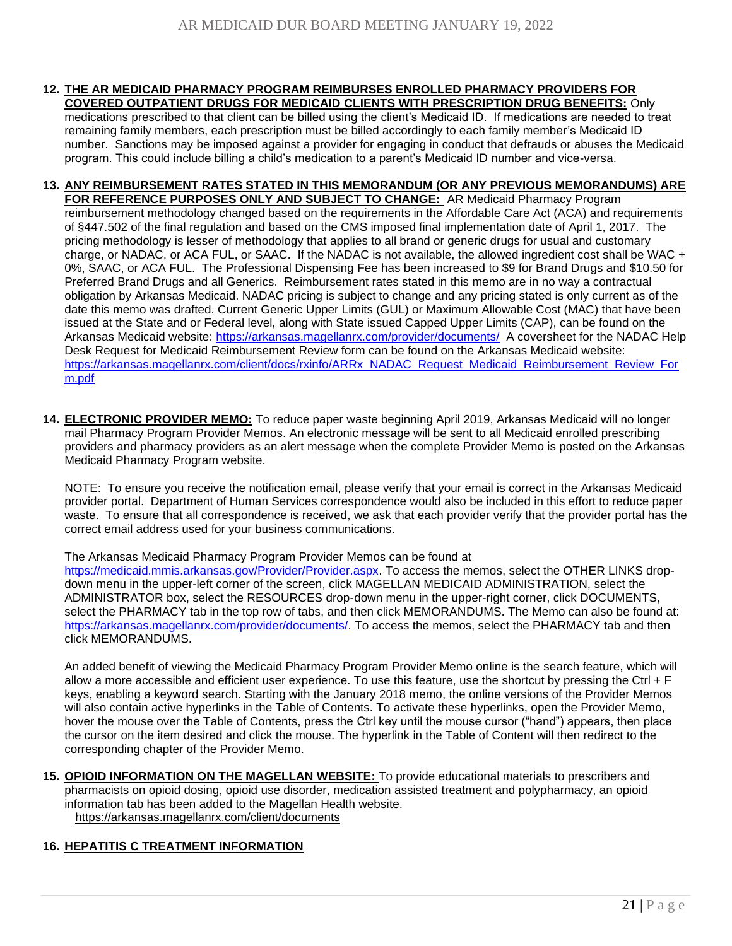- **12. THE AR MEDICAID PHARMACY PROGRAM REIMBURSES ENROLLED PHARMACY PROVIDERS FOR COVERED OUTPATIENT DRUGS FOR MEDICAID CLIENTS WITH PRESCRIPTION DRUG BENEFITS:** Only medications prescribed to that client can be billed using the client's Medicaid ID. If medications are needed to treat remaining family members, each prescription must be billed accordingly to each family member's Medicaid ID number. Sanctions may be imposed against a provider for engaging in conduct that defrauds or abuses the Medicaid program. This could include billing a child's medication to a parent's Medicaid ID number and vice-versa.
- **13. ANY REIMBURSEMENT RATES STATED IN THIS MEMORANDUM (OR ANY PREVIOUS MEMORANDUMS) ARE FOR REFERENCE PURPOSES ONLY AND SUBJECT TO CHANGE:** AR Medicaid Pharmacy Program reimbursement methodology changed based on the requirements in the Affordable Care Act (ACA) and requirements of §447.502 of the final regulation and based on the CMS imposed final implementation date of April 1, 2017. The pricing methodology is lesser of methodology that applies to all brand or generic drugs for usual and customary charge, or NADAC, or ACA FUL, or SAAC. If the NADAC is not available, the allowed ingredient cost shall be WAC + 0%, SAAC, or ACA FUL. The Professional Dispensing Fee has been increased to \$9 for Brand Drugs and \$10.50 for Preferred Brand Drugs and all Generics. Reimbursement rates stated in this memo are in no way a contractual obligation by Arkansas Medicaid. NADAC pricing is subject to change and any pricing stated is only current as of the date this memo was drafted. Current Generic Upper Limits (GUL) or Maximum Allowable Cost (MAC) that have been issued at the State and or Federal level, along with State issued Capped Upper Limits (CAP), can be found on the Arkansas Medicaid website:<https://arkansas.magellanrx.com/provider/documents/>A coversheet for the NADAC Help Desk Request for Medicaid Reimbursement Review form can be found on the Arkansas Medicaid website: [https://arkansas.magellanrx.com/client/docs/rxinfo/ARRx\\_NADAC\\_Request\\_Medicaid\\_Reimbursement\\_Review\\_For](https://arkansas.magellanrx.com/client/docs/rxinfo/ARRx_NADAC_Request_Medicaid_Reimbursement_Review_Form.pdf) [m.pdf](https://arkansas.magellanrx.com/client/docs/rxinfo/ARRx_NADAC_Request_Medicaid_Reimbursement_Review_Form.pdf)
- **14. ELECTRONIC PROVIDER MEMO:** To reduce paper waste beginning April 2019, Arkansas Medicaid will no longer mail Pharmacy Program Provider Memos. An electronic message will be sent to all Medicaid enrolled prescribing providers and pharmacy providers as an alert message when the complete Provider Memo is posted on the Arkansas Medicaid Pharmacy Program website.

NOTE: To ensure you receive the notification email, please verify that your email is correct in the Arkansas Medicaid provider portal. Department of Human Services correspondence would also be included in this effort to reduce paper waste. To ensure that all correspondence is received, we ask that each provider verify that the provider portal has the correct email address used for your business communications.

The Arkansas Medicaid Pharmacy Program Provider Memos can be found at [https://medicaid.mmis.arkansas.gov/Provider/Provider.aspx.](https://medicaid.mmis.arkansas.gov/Provider/Provider.aspx) To access the memos, select the OTHER LINKS dropdown menu in the upper-left corner of the screen, click MAGELLAN MEDICAID ADMINISTRATION, select the ADMINISTRATOR box, select the RESOURCES drop-down menu in the upper-right corner, click DOCUMENTS, select the PHARMACY tab in the top row of tabs, and then click MEMORANDUMS. The Memo can also be found at: [https://arkansas.magellanrx.com/provider/documents/.](https://arkansas.magellanrx.com/provider/documents/) To access the memos, select the PHARMACY tab and then click MEMORANDUMS.

An added benefit of viewing the Medicaid Pharmacy Program Provider Memo online is the search feature, which will allow a more accessible and efficient user experience. To use this feature, use the shortcut by pressing the Ctrl + F keys, enabling a keyword search. Starting with the January 2018 memo, the online versions of the Provider Memos will also contain active hyperlinks in the Table of Contents. To activate these hyperlinks, open the Provider Memo, hover the mouse over the Table of Contents, press the Ctrl key until the mouse cursor ("hand") appears, then place the cursor on the item desired and click the mouse. The hyperlink in the Table of Content will then redirect to the corresponding chapter of the Provider Memo.

**15. [OPIOID INFORMATION ON THE MAGELLAN WEBSITE:](#page-0-0)** To provide educational materials to prescribers and pharmacists on opioid dosing, opioid use disorder, medication assisted treatment and polypharmacy, an opioid information tab has been added to the Magellan Health website. <https://arkansas.magellanrx.com/client/documents>

#### **16. [HEPATITIS C TREATMENT INFORMATION](#page-0-0)**